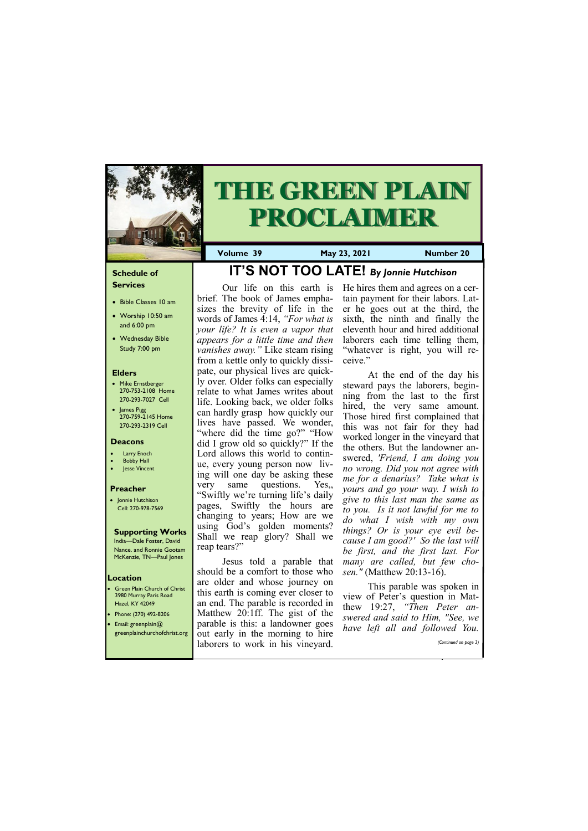# **Schedule of Services**

- Bible Classes 10 am
- Worship 10:50 am and 6:00 pm
- Wednesday Bible Study 7:00 pm

## **Elders**

- Mike Ernstberger 270-753-2108 Home 270-293-7027 Cell
- James Pigg 270-759-2145 Home 270-293-2319 Cell

- Green Plain Church of Christ 3980 Murray Paris Road Hazel, KY 42049 • Phone: (270) 492-8206
- Email: greenplain@



# **THE GREEN PLAIN PROCLAIMER**

## **Location**

**Volume 39 May 23, 2021 Number 20**

## **Deacons**

- **Larry Enoch**
- **Bobby Hall**
- Jesse Vincent

### **Preacher**

• Jonnie Hutchison Cell: 270-978-7569

# **Supporting Works**

India—Dale Foster, David Nance. and Ronnie Gootam McKenzie, TN—Paul Jones

# **IT'S NOT TOO LATE!** *By Jonnie Hutchison*

Our life on this earth is brief. The book of James emphasizes the brevity of life in the words of James 4:14, *"For what is your life? It is even a vapor that appears for a little time and then vanishes away."* Like steam rising from a kettle only to quickly dissipate, our physical lives are quickly over. Older folks can especially relate to what James writes about life. Looking back, we older folks can hardly grasp how quickly our lives have passed. We wonder, "where did the time go?" "How did I grow old so quickly?" If the Lord allows this world to continue, every young person now living will one day be asking these very same questions. Yes,, "Swiftly we're turning life's daily pages, Swiftly the hours are changing to years; How are we using God's golden moments? Shall we reap glory? Shall we reap tears?"

| greenplainchurchofchrist.org out early in the morning to hire | nave ien an ana jouowed fou. |
|---------------------------------------------------------------|------------------------------|
| laborers to work in his vineyard.                             | (Continued on page 3)        |
|                                                               |                              |

Jesus told a parable that should be a comfort to those who are older and whose journey on this earth is coming ever closer to an end. The parable is recorded in Matthew 20:1ff. The gist of the parable is this: a landowner goes

He hires them and agrees on a certain payment for their labors. Later he goes out at the third, the sixth, the ninth and finally the eleventh hour and hired additional laborers each time telling them, "whatever is right, you will receive."

At the end of the day his steward pays the laborers, beginning from the last to the first hired, the very same amount. Those hired first complained that this was not fair for they had worked longer in the vineyard that the others. But the landowner answered, *'Friend, I am doing you no wrong. Did you not agree with me for a denarius? Take what is yours and go your way. I wish to give to this last man the same as to you. Is it not lawful for me to do what I wish with my own things? Or is your eye evil because I am good?' So the last will be first, and the first last. For many are called, but few chosen."* (Matthew 20:13-16).

This parable was spoken in view of Peter's question in Matthew 19:27, *"Then Peter answered and said to Him, "See, we have left all and followed You.*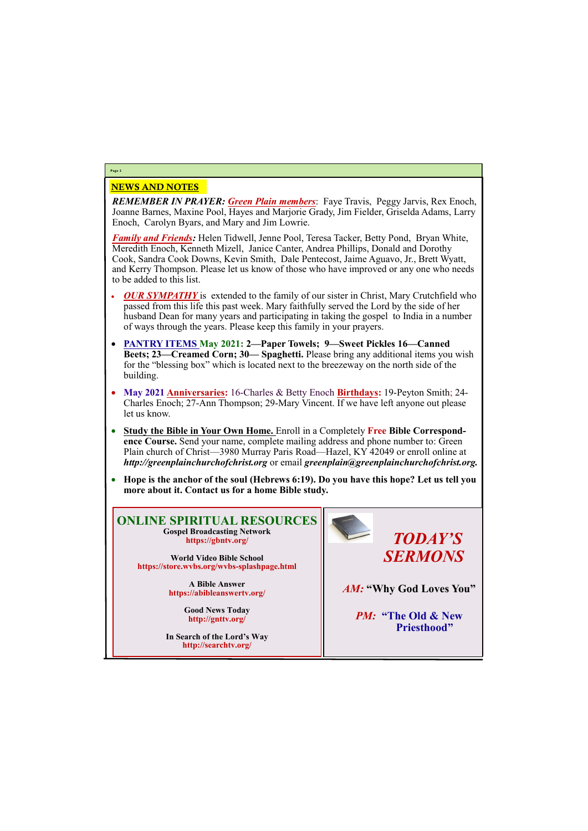# NEWS AND NOTES

*REMEMBER IN PRAYER: Green Plain members*: Faye Travis, Peggy Jarvis, Rex Enoch, Joanne Barnes, Maxine Pool, Hayes and Marjorie Grady, Jim Fielder, Griselda Adams, Larry Enoch, Carolyn Byars, and Mary and Jim Lowrie.

*Family and Friends:* Helen Tidwell, Jenne Pool, Teresa Tacker, Betty Pond, Bryan White, Meredith Enoch, Kenneth Mizell, Janice Canter, Andrea Phillips, Donald and Dorothy Cook, Sandra Cook Downs, Kevin Smith, Dale Pentecost, Jaime Aguavo, Jr., Brett Wyatt, and Kerry Thompson. Please let us know of those who have improved or any one who needs to be added to this list.

- *OUR SYMPATHY* is extended to the family of our sister in Christ, Mary Crutchfield who passed from this life this past week. Mary faithfully served the Lord by the side of her husband Dean for many years and participating in taking the gospel to India in a number of ways through the years. Please keep this family in your prayers.
- **PANTRY ITEMS May 2021: 2—Paper Towels; 9—Sweet Pickles 16—Canned Beets; 23—Creamed Corn; 30— Spaghetti.** Please bring any additional items you wish for the "blessing box" which is located next to the breezeway on the north side of the building.
- **May 2021 Anniversaries:** 16-Charles & Betty Enoch **Birthdays:** 19-Peyton Smith; 24- Charles Enoch; 27-Ann Thompson; 29-Mary Vincent. If we have left anyone out please let us know.
- **Study the Bible in Your Own Home.** Enroll in a Completely **Free Bible Correspondence Course.** Send your name, complete mailing address and phone number to: Green Plain church of Christ—3980 Murray Paris Road—Hazel, KY 42049 or enroll online at *http://greenplainchurchofchrist.org* or email *greenplain@greenplainchurchofchrist.org.*
- **Hope is the anchor of the soul (Hebrews 6:19). Do you have this hope? Let us tell you more about it. Contact us for a home Bible study.**

# **Page 2**

# **ONLINE SPIRITUAL RESOURCES Gospel Broadcasting Network https://gbntv.org/**

**World Video Bible School https://store.wvbs.org/wvbs-splashpage.html**

> **A Bible Answer https://abibleanswertv.org/**

> > **Good News Today http://gnttv.org/**

**In Search of the Lord's Way http://searchtv.org/**



*AM:* **"Why God Loves You"**

*PM:* **"The Old & New** 

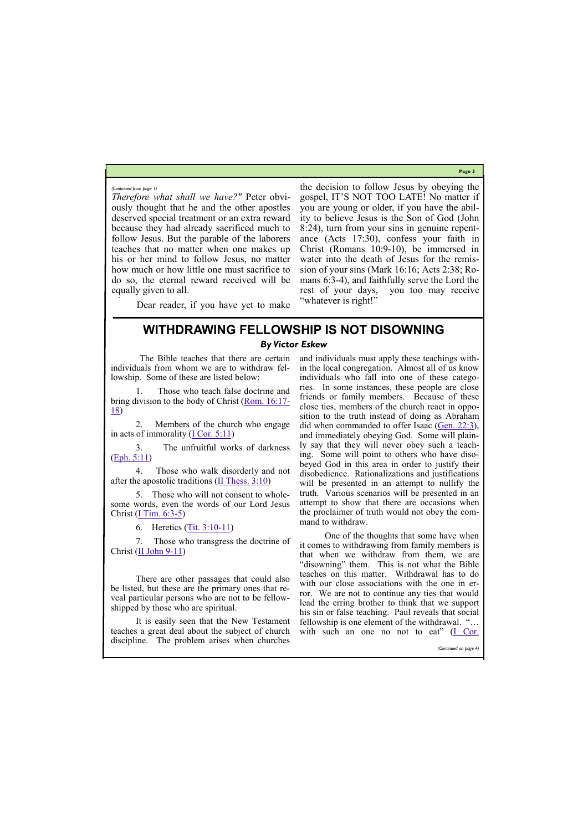**Page 3**

*Therefore what shall we have?"* Peter obviously thought that he and the other apostles deserved special treatment or an extra reward because they had already sacrificed much to follow Jesus. But the parable of the laborers teaches that no matter when one makes up his or her mind to follow Jesus, no matter how much or how little one must sacrifice to do so, the eternal reward received will be equally given to all.

Dear reader, if you have yet to make

2. Members of the church who engage in acts of immorality  $(I \text{Cor. } 5:11)$ 

4. Those who walk disorderly and not after the apostolic traditions  $(\underline{II}$  Thess. 3:10)

the decision to follow Jesus by obeying the gospel, IT'S NOT TOO LATE! No matter if you are young or older, if you have the ability to believe Jesus is the Son of God (John 8:24), turn from your sins in genuine repentance (Acts 17:30), confess your faith in Christ (Romans 10:9-10), be immersed in water into the death of Jesus for the remission of your sins (Mark 16:16; Acts 2:38; Romans 6:3-4), and faithfully serve the Lord the rest of your days, you too may receive "whatever is right!"

5. Those who will not consent to wholesome words, even the words of our Lord Jesus Christ  $(\underline{I}$  Tim. 6:3-5)

7. Those who transgress the doctrine of Christ  $(\underline{II}$  John 9-11)

*(Continued from page 1)*

# **WITHDRAWING FELLOWSHIP IS NOT DISOWNING** *By Victor Eskew*

The Bible teaches that there are certain individuals from whom we are to withdraw fellowship. Some of these are listed below:

1. Those who teach false doctrine and bring division to the body of Christ ([Rom. 16:17](https://biblia.com/bible/kjv1900/Rom.%2016.17-18)- [18\)](https://biblia.com/bible/kjv1900/Rom.%2016.17-18)

3. The unfruitful works of darkness ([Eph. 5:11\)](https://biblia.com/bible/kjv1900/Eph.%205.11)

6. Heretics [\(Tit. 3:10](https://biblia.com/bible/kjv1900/Titus.%203.10-11)-11)

There are other passages that could also be listed, but these are the primary ones that reveal particular persons who are not to be fellowshipped by those who are spiritual.

and individuals must apply these teachings within the local congregation. Almost all of us know individuals who fall into one of these categories. In some instances, these people are close friends or family members. Because of these close ties, members of the church react in opposition to the truth instead of doing as Abraham did when commanded to offer Isaac [\(Gen. 22:3\),](https://biblia.com/bible/kjv1900/Gen.%2022.3) and immediately obeying God. Some will plainly say that they will never obey such a teaching. Some will point to others who have disobeyed God in this area in order to justify their disobedience. Rationalizations and justifications will be presented in an attempt to nullify the truth. Various scenarios will be presented in an attempt to show that there are occasions when the proclaimer of truth would not obey the command to withdraw.

It is easily seen that the New Testament teaches a great deal about the subject of church with such an one no not to eat"  $(I \nCor.)$ discipline. The problem arises when churches fellowship is one element of the withdrawal. "… *(Continued on page 4)*

One of the thoughts that some have when it comes to withdrawing from family members is that when we withdraw from them, we are "disowning" them. This is not what the Bible teaches on this matter. Withdrawal has to do with our close associations with the one in error. We are not to continue any ties that would lead the erring brother to think that we support his sin or false teaching. Paul reveals that social